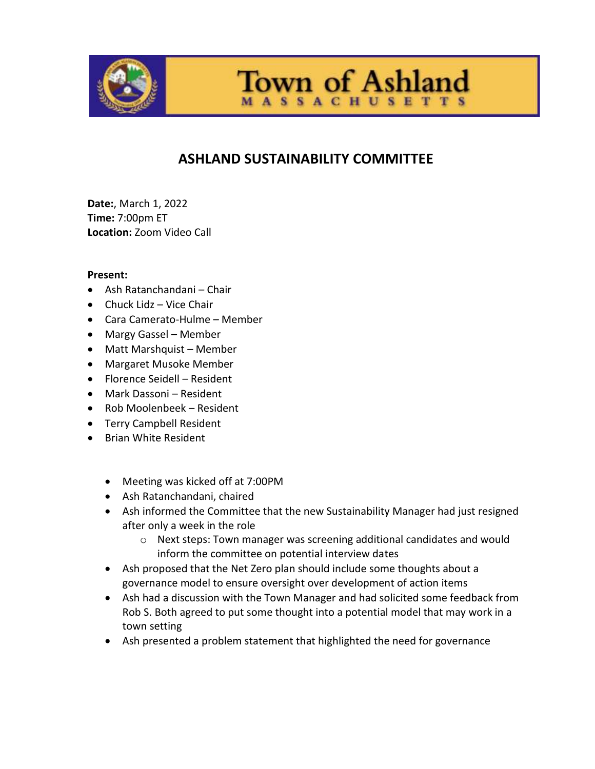

**Town of Ashland SSACHUSETT** 

# **ASHLAND SUSTAINABILITY COMMITTEE**

**Date:**, March 1, 2022 **Time:** 7:00pm ET **Location:** Zoom Video Call

### **Present:**

- Ash Ratanchandani Chair
- Chuck Lidz Vice Chair
- Cara Camerato-Hulme Member
- Margy Gassel Member
- Matt Marshquist Member
- Margaret Musoke Member
- Florence Seidell Resident
- Mark Dassoni Resident
- Rob Moolenbeek Resident
- **•** Terry Campbell Resident
- Brian White Resident
	- Meeting was kicked off at 7:00PM
	- Ash Ratanchandani, chaired
	- Ash informed the Committee that the new Sustainability Manager had just resigned after only a week in the role
		- o Next steps: Town manager was screening additional candidates and would inform the committee on potential interview dates
	- Ash proposed that the Net Zero plan should include some thoughts about a governance model to ensure oversight over development of action items
	- Ash had a discussion with the Town Manager and had solicited some feedback from Rob S. Both agreed to put some thought into a potential model that may work in a town setting
	- Ash presented a problem statement that highlighted the need for governance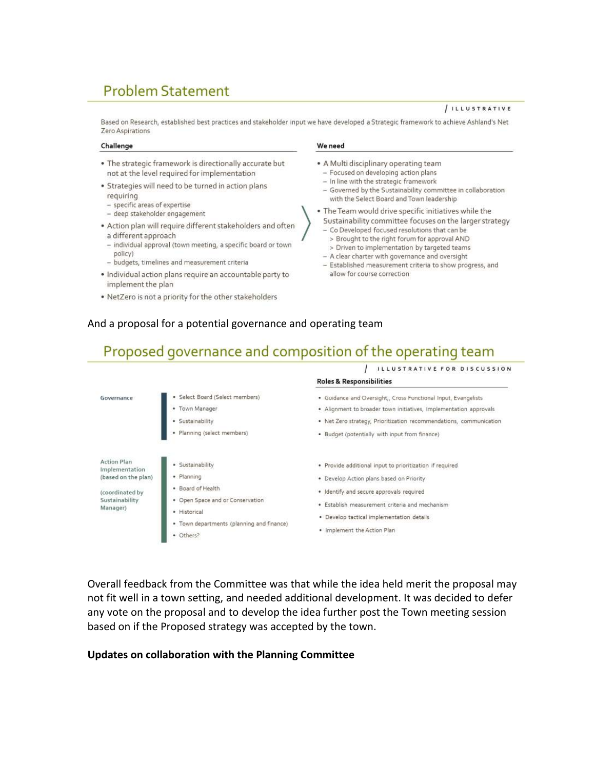# **Problem Statement**

#### / ILLUSTRATIVE

Based on Research, established best practices and stakeholder input we have developed a Strategic framework to achieve Ashland's Net Zero Aspirations

#### Challenge

- . The strategic framework is directionally accurate but not at the level required for implementation
- · Strategies will need to be turned in action plans requiring
- specific areas of expertise
- deep stakeholder engagement
- · Action plan will require different stakeholders and often a different approach
- individual approval (town meeting, a specific board or town policy)
- budgets, timelines and measurement criteria
- · Individual action plans require an accountable party to implement the plan
- . NetZero is not a priority for the other stakeholders

#### We need

- A Multi disciplinary operating team
- Focused on developing action plans
- In line with the strategic framework
- Governed by the Sustainability committee in collaboration with the Select Board and Town leadership
- . The Team would drive specific initiatives while the
	- Sustainability committee focuses on the larger strategy
	- Co Developed focused resolutions that can be
	- > Brought to the right forum for approval AND
	- > Driven to implementation by targeted teams
	- A clear charter with governance and oversight
	- Established measurement criteria to show progress, and allow for course correction

### And a proposal for a potential governance and operating team

## Proposed governance and composition of the operating team



Overall feedback from the Committee was that while the idea held merit the proposal may not fit well in a town setting, and needed additional development. It was decided to defer any vote on the proposal and to develop the idea further post the Town meeting session based on if the Proposed strategy was accepted by the town.

### **Updates on collaboration with the Planning Committee**